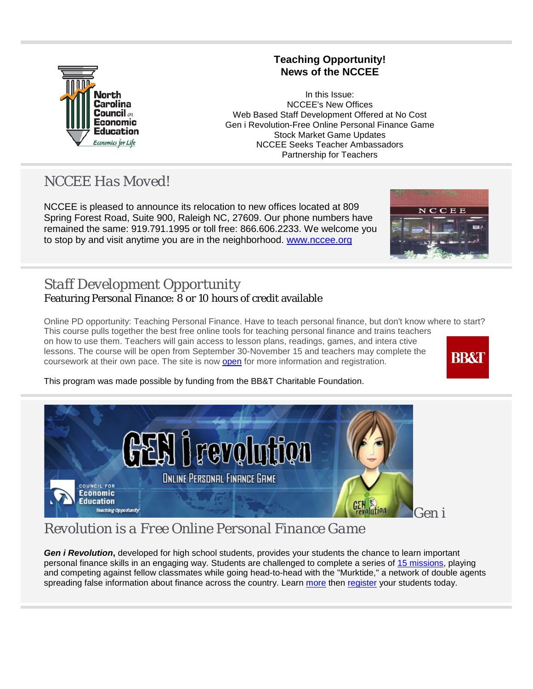

### **Teaching Opportunity! News of the NCCEE**

 In this Issue: NCCEE's New Offices Web Based Staff Development Offered at No Cost Gen i Revolution-Free Online Personal Finance Game Stock Market Game Updates NCCEE Seeks Teacher Ambassadors Partnership for Teachers

### *NCCEE Has Moved!*

NCCEE is pleased to announce its relocation to new offices located at 809 Spring Forest Road, Suite 900, Raleigh NC, 27609. Our phone numbers have remained the same: 919.791.1995 or toll free: 866.606.2233. We welcome you to stop by and visit anytime you are in the neighborhood. [www.nccee.org](http://r20.rs6.net/tn.jsp?e=001cYlPPtNEltoNtzu3j3c7m6LNdtoyI2fAAT5NQ1KSTYGdE0qBv1Ou-ayFF00MAGASGpMjW24ZAniKSBFb5sDQ7KcsS2qUdSZVLfpzP0bDj7yC3CuNLdni4g==)



### *Staff Development Opportunity* Featuring Personal Finance: 8 or 10 hours of credit available

Online PD opportunity: Teaching Personal Finance. Have to teach personal finance, but don't know where to start? This course pulls together the best free online tools for teaching personal finance and trains teachers on how to use them. Teachers will gain access to lesson plans, readings, games, and intera ctive lessons. The course will be open from September 30-November 15 and teachers may complete the **BB&I** coursework at their own pace. The site is now [open](http://r20.rs6.net/tn.jsp?e=001cYlPPtNEltphYb9hETz1NtD4vL27yDPUXXQ_W0uAG_OkcGHtK98SHzbaRv7v7RkbLErBLWnfpHf7h4ClwwVytSQ3zoZqj9GHBgUICKuEsBZMSZNNz89PnxvF3CZeSdMtdTFxjaujo7-p-wTLppAXZK58RUjIxcR9PBUiVjBfnBOkhLreMGsS4iNOd9s8MwX1) for more information and registration.



This program was made possible by funding from the BB&T Charitable Foundation.



*Revolution is a Free Online Personal Finance Game*

*Gen i Revolution***,** developed for high school students, provides your students the chance to learn important personal finance skills in an engaging way. Students are challenged to complete a series of [15 missions,](http://r20.rs6.net/tn.jsp?e=001cYlPPtNEltqPAccCFxtg8LV4WkXZzsXWFnLWcDeGo8Q0oCfabpYaxNNDxKvkA5HYaT0DIvSMQYi7PWUU2kWrhm6RA1lhBk1AJ-_OciF8QVv52qMYQr6D8xE2QeHnNLgHPiCpZuDwQFmSGGnuFdGLnQ==) playing and competing against fellow classmates while going head-to-head with the "Murktide," a network of double agents spreading false information about finance across the country. Learn [more](http://r20.rs6.net/tn.jsp?e=001cYlPPtNEltqzbrs8XeNG1uhYeh-CRMRUAqHejkbeONmV09t3kY68qkV5g1VpNdMSXtUJmqQdCswT31mbbUUIHbPYfKecb1QlZnThHNZOg_1mavtBiHl5_-h10Y6GVBk5PmHuUli0Ya65lw8G55pEfhBlRAsUuu9md5jHyk3-VLVRpdVoP0zWWmPUVls0Y01xJBWImXA7P4oMy4u4pWIOlw==) then [register](http://r20.rs6.net/tn.jsp?e=001cYlPPtNEltr1wPwiCjXqfaXe1ExQhu3JwTslBoeKSe-3r3DlcMSwsA8RwsjzeV5PBeGQxtiMNYq8-8hTqphKJS8os_Y7kROf33m9-9xq9pUPOCny2CwqicMrtCeQPoXY) your students today.